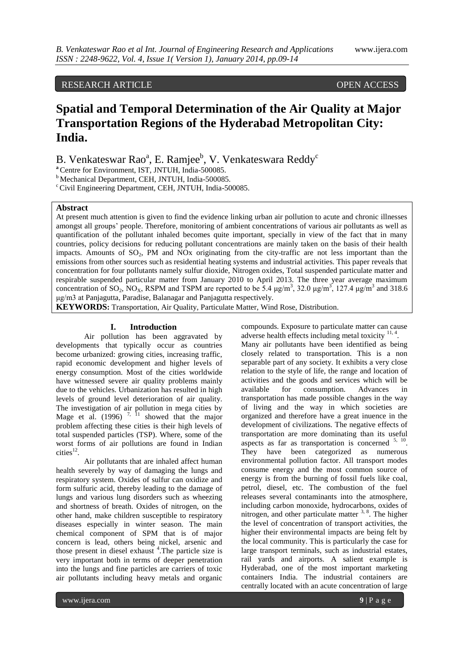# RESEARCH ARTICLE OPEN ACCESS

# **Spatial and Temporal Determination of the Air Quality at Major Transportation Regions of the Hyderabad Metropolitan City: India.**

B. Venkateswar Rao<sup>a</sup>, E. Ramjee<sup>b</sup>, V. Venkateswara Reddy<sup>c</sup>

**<sup>a</sup>**Centre for Environment, IST, JNTUH, India-500085.

<sup>b</sup> Mechanical Department, CEH, JNTUH, India-500085.

 $\textdegree$  Civil Engineering Department, CEH, JNTUH, India-500085.

# **Abstract**

At present much attention is given to find the evidence linking urban air pollution to acute and chronic illnesses amongst all groups' people. Therefore, monitoring of ambient concentrations of various air pollutants as well as quantification of the pollutant inhaled becomes quite important, specially in view of the fact that in many countries, policy decisions for reducing pollutant concentrations are mainly taken on the basis of their health impacts. Amounts of  $SO_2$ , PM and NOx originating from the city-traffic are not less important than the emissions from other sources such as residential heating systems and industrial activities. This paper reveals that concentration for four pollutants namely sulfur dioxide, Nitrogen oxides, Total suspended particulate matter and respirable suspended particular matter from January 2010 to April 2013. The three year average maximum concentration of SO<sub>2</sub>, NO<sub>X</sub>, RSPM and TSPM are reported to be 5.4  $\mu$ g/m<sup>3</sup>, 32.0  $\mu$ g/m<sup>3</sup>, 127.4  $\mu$ g/m<sup>3</sup> and 318.6 μg/m3 at Panjagutta, Paradise, Balanagar and Panjagutta respectively.

**KEYWORDS:** Transportation, Air Quality, Particulate Matter, Wind Rose, Distribution.

#### **I. Introduction**

Air pollution has been aggravated by developments that typically occur as countries become urbanized: growing cities, increasing traffic, rapid economic development and higher levels of energy consumption. Most of the cities worldwide have witnessed severe air quality problems mainly due to the vehicles. Urbanization has resulted in high levels of ground level deterioration of air quality. The investigation of air pollution in mega cities by Mage et al. (1996)  $^{7, 11}$  showed that the major problem affecting these cities is their high levels of total suspended particles (TSP). Where, some of the worst forms of air pollutions are found in Indian  $\text{cities}^{12}$ .

Air pollutants that are inhaled affect human health severely by way of damaging the lungs and respiratory system. Oxides of sulfur can oxidize and form sulfuric acid, thereby leading to the damage of lungs and various lung disorders such as wheezing and shortness of breath. Oxides of nitrogen, on the other hand, make children susceptible to respiratory diseases especially in winter season. The main chemical component of SPM that is of major concern is lead, others being nickel, arsenic and those present in diesel exhaust <sup>4</sup>. The particle size is very important both in terms of deeper penetration into the lungs and fine particles are carriers of toxic air pollutants including heavy metals and organic

compounds. Exposure to particulate matter can cause adverse health effects including metal toxicity <sup>11, 4</sup>.

Many air pollutants have been identified as being closely related to transportation. This is a non separable part of any society. It exhibits a very close relation to the style of life, the range and location of activities and the goods and services which will be available for consumption. Advances in transportation has made possible changes in the way of living and the way in which societies are organized and therefore have a great inuence in the development of civilizations. The negative effects of transportation are more dominating than its useful aspects as far as transportation is concerned  $5, 10$ . They have been categorized as numerous environmental pollution factor. All transport modes consume energy and the most common source of energy is from the burning of fossil fuels like coal, petrol, diesel, etc. The combustion of the fuel releases several contaminants into the atmosphere, including carbon monoxide, hydrocarbons, oxides of nitrogen, and other particulate matter  $3, 8$ . The higher the level of concentration of transport activities, the higher their environmental impacts are being felt by the local community. This is particularly the case for large transport terminals, such as industrial estates, rail yards and airports. A salient example is Hyderabad, one of the most important marketing containers India. The industrial containers are centrally located with an acute concentration of large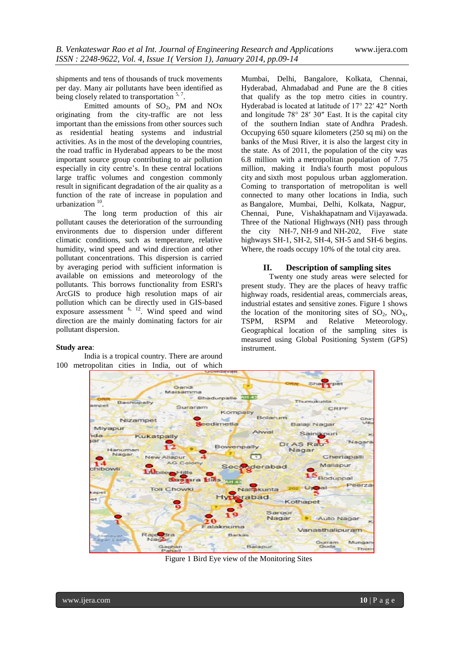shipments and tens of thousands of truck movements per day. Many air pollutants have been identified as being closely related to transportation  $5, 7$ .

Emitted amounts of  $SO_2$ , PM and NOx originating from the city-traffic are not less important than the emissions from other sources such as residential heating systems and industrial activities. As in the most of the developing countries, the road traffic in Hyderabad appears to be the most important source group contributing to air pollution especially in city centre's. In these central locations large traffic volumes and congestion commonly result in significant degradation of the air quality as a function of the rate of increase in population and urbanization  $10$ .

The long term production of this air pollutant causes the deterioration of the surrounding environments due to dispersion under different climatic conditions, such as temperature, relative humidity, wind speed and wind direction and other pollutant concentrations. This dispersion is carried by averaging period with sufficient information is available on emissions and meteorology of the pollutants. This borrows functionality from ESRI's ArcGIS to produce high resolution maps of air pollution which can be directly used in GIS-based exposure assessment  $6, 12$ . Wind speed and wind direction are the mainly dominating factors for air pollutant dispersion.

#### **Study area**:

India is a tropical country. There are around 100 metropolitan cities in India, out of which

Mumbai, Delhi, Bangalore, Kolkata, Chennai, Hyderabad, Ahmadabad and Pune are the 8 cities that qualify as the top metro cities in country. Hyderabad is located at latitude of 17° 22′ 42″ North and longitude 78° 28′ 30″ East. It is the capital city of the southern [Indian state](http://en.wikipedia.org/wiki/States_and_territories_of_India) of [Andhra Pradesh.](http://en.wikipedia.org/wiki/Andhra_Pradesh) Occupying 650 square kilometers (250 sq mi) on the banks of the [Musi River,](http://en.wikipedia.org/wiki/Musi_River_(India)) it is also the largest city in the state. As of 2011, the population of the city was 6.8 million with a [metropolitan](http://en.wikipedia.org/wiki/Metropolitan_area) population of 7.75 million, making it India's [fourth most populous](http://en.wikipedia.org/wiki/List_of_most_populous_cities_in_India)  [city](http://en.wikipedia.org/wiki/List_of_most_populous_cities_in_India) and [sixth most populous urban agglomeration.](http://en.wikipedia.org/wiki/List_of_million-plus_agglomerations_in_India) Coming to transportation of metropolitan is well connected to many other locations in India, such as [Bangalore,](http://en.wikipedia.org/wiki/Bangalore) [Mumbai,](http://en.wikipedia.org/wiki/Mumbai) [Delhi,](http://en.wikipedia.org/wiki/Delhi) [Kolkata,](http://en.wikipedia.org/wiki/Kolkata) [Nagpur,](http://en.wikipedia.org/wiki/Nagpur) [Chennai,](http://en.wikipedia.org/wiki/Chennai) [Pune,](http://en.wikipedia.org/wiki/Pune) [Vishakhapatnam](http://en.wikipedia.org/wiki/Vishakapatnam) and [Vijayawada.](http://en.wikipedia.org/wiki/Vijayawada) Three of the [National Highways](http://en.wikipedia.org/wiki/National_Highway_(India)) (NH) pass through the city [NH-7,](http://en.wikipedia.org/wiki/National_Highway_7_(India)) [NH-9](http://en.wikipedia.org/wiki/National_Highway_9_(India)) and [NH-202,](http://en.wikipedia.org/wiki/National_Highway_202_(India)) Five state highways [SH-1,](http://en.wikipedia.org/wiki/State_Highway_1_(Andhra_Pradesh)) SH-2, SH-4, SH-5 and SH-6 begins. Where, the roads occupy 10% of the total city area.

#### **II. Description of sampling sites**

Twenty one study areas were selected for present study. They are the places of heavy traffic highway roads, residential areas, commercials areas, industrial estates and sensitive zones. Figure 1 shows the location of the monitoring sites of  $SO_2$ ,  $NO_X$ ,  $TSPM$  and Relative Meteorology. Relative Meteorology. Geographical location of the sampling sites is measured using Global Positioning System (GPS) instrument.



Figure 1 Bird Eye view of the Monitoring Sites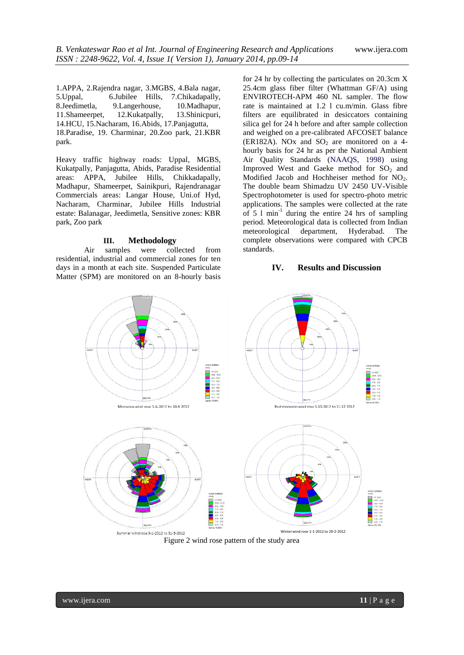1.APPA, 2.Rajendra nagar, 3.MGBS, 4.Bala nagar, 5.Uppal, 6.Jubilee Hills, 7.Chikadapally, 8.Jeedimetla, 9.Langerhouse, 10.Madhapur, 11.Shameerpet, 12.Kukatpally, 13.Shinicpuri, 14.HCU, 15.Nacharam, 16.Abids, 17.Panjagutta, 18.Paradise, 19. Charminar, 20.Zoo park, 21.KBR park.

Heavy traffic highway roads: Uppal, MGBS, Kukatpally, Panjagutta, Abids, Paradise Residential areas: APPA, Jubilee Hills, Chikkadapally, Madhapur, Shameerpet, Sainikpuri, Rajendranagar Commercials areas: Langar House, Uni.of Hyd, Nacharam, Charminar, Jubilee Hills Industrial estate: Balanagar, Jeedimetla, Sensitive zones: KBR park, Zoo park

# **III. Methodology**

Air samples were collected from residential, industrial and commercial zones for ten days in a month at each site. Suspended Particulate Matter (SPM) are monitored on an 8-hourly basis for 24 hr by collecting the particulates on 20.3cm X 25.4cm glass fiber filter (Whattman GF/A) using ENVIROTECH-APM 460 NL sampler. The flow rate is maintained at 1.2 l cu.m/min. Glass fibre filters are equilibrated in desiccators containing silica gel for 24 h before and after sample collection and weighed on a pre-calibrated AFCOSET balance (ER182A). NOx and  $SO<sub>2</sub>$  are monitored on a 4hourly basis for 24 hr as per the National Ambient Air Quality Standards (NAAQS, 1998) using Improved West and Gaeke method for  $SO<sub>2</sub>$  and Modified Jacob and Hochheiser method for NO<sub>2</sub>. The double beam Shimadzu UV 2450 UV-Visible Spectrophotometer is used for spectro-photo metric applications. The samples were collected at the rate of 5 l min-1 during the entire 24 hrs of sampling period. Meteorological data is collected from Indian meteorological department, Hyderabad. The complete observations were compared with CPCB standards.

# **IV. Results and Discussion**



Figure 2 wind rose pattern of the study area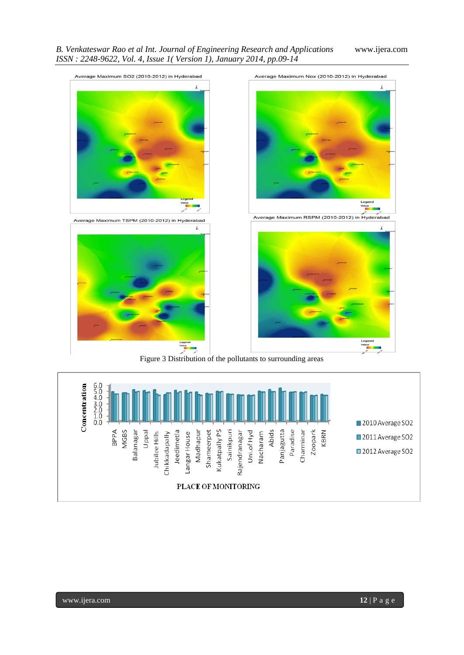

Figure 3 Distribution of the pollutants to surrounding areas

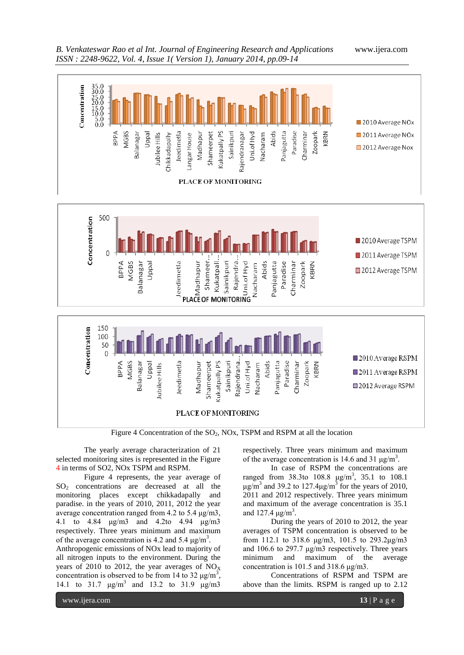



Figure 4 Concentration of the  $SO_2$ , NOx, TSPM and RSPM at all the location

The yearly average characterization of 21 selected monitoring sites is represented in the Figure 4 in terms of SO2, NOx TSPM and RSPM.

Figure 4 represents, the year average of SO<sup>2</sup> concentrations are decreased at all the monitoring places except chikkadapally and paradise. in the years of 2010, 2011, 2012 the year average concentration ranged from 4.2 to 5.4 μg/m3, 4.1 to 4.84 μg/m3 and 4.2to 4.94 μg/m3 respectively. Three years minimum and maximum of the average concentration is 4.2 and 5.4  $\mu$ g/m<sup>3</sup>.

Anthropogenic emissions of NOx lead to majority of all nitrogen inputs to the environment. During the years of 2010 to 2012, the year averages of  $NO<sub>x</sub>$ concentration is observed to be from 14 to 32  $\mu$ g/m<sup>3</sup>, 14.1 to 31.7 μg/m<sup>3</sup> and 13.2 to 31.9 μg/m3

respectively. Three years minimum and maximum of the average concentration is 14.6 and 31  $\mu$ g/m<sup>3</sup>.

In case of RSPM the concentrations are ranged from 38.3to  $108.8 \text{ }\mu\text{g/m}^3$ , 35.1 to  $108.1$ μg/m<sup>3</sup> and 39.2 to 127.4μg/m<sup>3</sup> for the years of 2010, 2011 and 2012 respectively. Three years minimum and maximum of the average concentration is 35.1 and 127.4  $\mu$ g/m<sup>3</sup>.

During the years of 2010 to 2012, the year averages of TSPM concentration is observed to be from 112.1 to 318.6 μg/m3, 101.5 to 293.2μg/m3 and 106.6 to 297.7 μg/m3 respectively. Three years minimum and maximum of the average concentration is 101.5 and 318.6 μg/m3.

Concentrations of RSPM and TSPM are above than the limits. RSPM is ranged up to 2.12